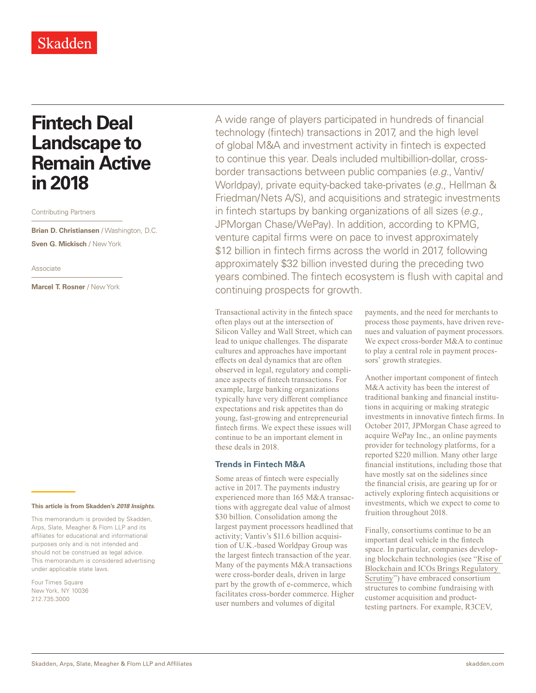# **Fintech Deal Landscape to Remain Active in 2018**

Contributing Partners

**Brian D. Christiansen** / Washington, D.C. **Sven G. Mickisch** / New York

#### Associate

**Marcel T. Rosner** / New York

#### **This article is from Skadden's** *[2018 Insights](https://www.skadden.com/insights/skaddens-2017-insights)***.**

This memorandum is provided by Skadden, Arps, Slate, Meagher & Flom LLP and its affiliates for educational and informational purposes only and is not intended and should not be construed as legal advice. This memorandum is considered advertising under applicable state laws.

Four Times Square New York, NY 10036 212.735.3000

A wide range of players participated in hundreds of financial technology (fintech) transactions in 2017, and the high level of global M&A and investment activity in fintech is expected to continue this year. Deals included multibillion-dollar, crossborder transactions between public companies (*e.g.*, Vantiv/ Worldpay), private equity-backed take-privates (*e.g.*, Hellman & Friedman/Nets A/S), and acquisitions and strategic investments in fintech startups by banking organizations of all sizes (*e.g.*, JPMorgan Chase/WePay). In addition, according to KPMG, venture capital firms were on pace to invest approximately \$12 billion in fintech firms across the world in 2017, following approximately \$32 billion invested during the preceding two years combined. The fintech ecosystem is flush with capital and continuing prospects for growth.

Transactional activity in the fintech space often plays out at the intersection of Silicon Valley and Wall Street, which can lead to unique challenges. The disparate cultures and approaches have important effects on deal dynamics that are often observed in legal, regulatory and compliance aspects of fintech transactions. For example, large banking organizations typically have very different compliance expectations and risk appetites than do young, fast-growing and entrepreneurial fintech firms. We expect these issues will continue to be an important element in these deals in 2018.

### **Trends in Fintech M&A**

Some areas of fintech were especially active in 2017. The payments industry experienced more than 165 M&A transactions with aggregate deal value of almost \$30 billion. Consolidation among the largest payment processors headlined that activity; Vantiv's \$11.6 billion acquisition of U.K.-based Worldpay Group was the largest fintech transaction of the year. Many of the payments M&A transactions were cross-border deals, driven in large part by the growth of e-commerce, which facilitates cross-border commerce. Higher user numbers and volumes of digital

payments, and the need for merchants to process those payments, have driven revenues and valuation of payment processors. We expect cross-border M&A to continue to play a central role in payment processors' growth strategies.

Another important component of fintech M&A activity has been the interest of traditional banking and financial institutions in acquiring or making strategic investments in innovative fintech firms. In October 2017, JPMorgan Chase agreed to acquire WePay Inc., an online payments provider for technology platforms, for a reported \$220 million. Many other large financial institutions, including those that have mostly sat on the sidelines since the financial crisis, are gearing up for or actively exploring fintech acquisitions or investments, which we expect to come to fruition throughout 2018.

Finally, consortiums continue to be an important deal vehicle in the fintech space. In particular, companies developing blockchain technologies (see ["Rise of](https://www.skadden.com/insights/publications/2018/01/2018-insights/rise-of-blockchain-and-icos)  [Blockchain and ICOs Brings Regulatory](https://www.skadden.com/insights/publications/2018/01/2018-insights/rise-of-blockchain-and-icos)  [Scrutiny](https://www.skadden.com/insights/publications/2018/01/2018-insights/rise-of-blockchain-and-icos)") have embraced consortium structures to combine fundraising with customer acquisition and producttesting partners. For example, R3CEV,